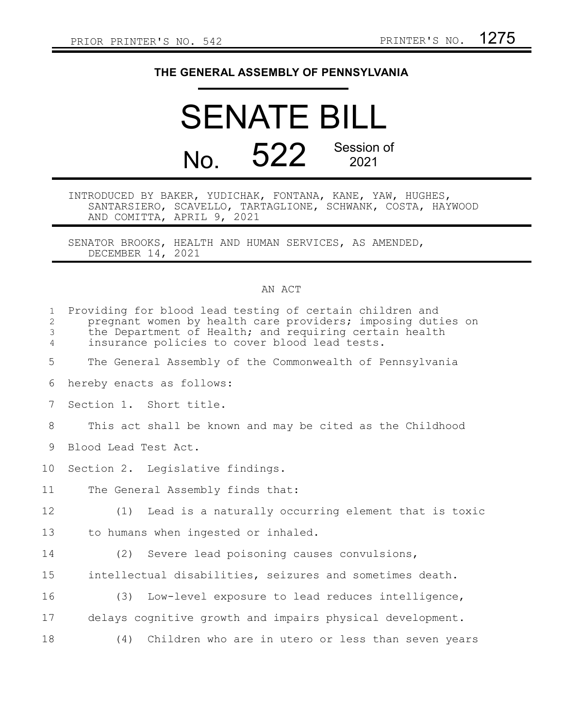## **THE GENERAL ASSEMBLY OF PENNSYLVANIA**

## SENATE BILL No. 522 Session of 2021

INTRODUCED BY BAKER, YUDICHAK, FONTANA, KANE, YAW, HUGHES, SANTARSIERO, SCAVELLO, TARTAGLIONE, SCHWANK, COSTA, HAYWOOD AND COMITTA, APRIL 9, 2021

SENATOR BROOKS, HEALTH AND HUMAN SERVICES, AS AMENDED, DECEMBER 14, 2021

## AN ACT

| $\mathbf{1}$<br>2<br>3<br>$\overline{4}$ | Providing for blood lead testing of certain children and<br>pregnant women by health care providers; imposing duties on<br>the Department of Health; and requiring certain health<br>insurance policies to cover blood lead tests. |
|------------------------------------------|------------------------------------------------------------------------------------------------------------------------------------------------------------------------------------------------------------------------------------|
| 5                                        | The General Assembly of the Commonwealth of Pennsylvania                                                                                                                                                                           |
| 6                                        | hereby enacts as follows:                                                                                                                                                                                                          |
| $7\phantom{.0}$                          | Section 1. Short title.                                                                                                                                                                                                            |
| 8                                        | This act shall be known and may be cited as the Childhood                                                                                                                                                                          |
| 9                                        | Blood Lead Test Act.                                                                                                                                                                                                               |
| 10 <sub>o</sub>                          | Section 2. Legislative findings.                                                                                                                                                                                                   |
| 11                                       | The General Assembly finds that:                                                                                                                                                                                                   |
| 12                                       | (1) Lead is a naturally occurring element that is toxic                                                                                                                                                                            |
| 13                                       | to humans when ingested or inhaled.                                                                                                                                                                                                |
| 14                                       | (2) Severe lead poisoning causes convulsions,                                                                                                                                                                                      |
| 15                                       | intellectual disabilities, seizures and sometimes death.                                                                                                                                                                           |
| 16                                       | (3) Low-level exposure to lead reduces intelligence,                                                                                                                                                                               |
| 17                                       | delays cognitive growth and impairs physical development.                                                                                                                                                                          |
| 18                                       | (4) Children who are in utero or less than seven years                                                                                                                                                                             |
|                                          |                                                                                                                                                                                                                                    |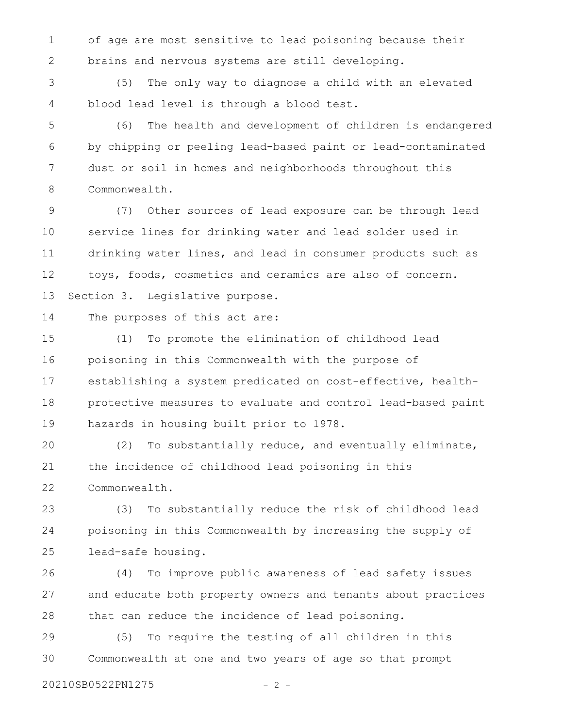of age are most sensitive to lead poisoning because their brains and nervous systems are still developing. 1 2

(5) The only way to diagnose a child with an elevated blood lead level is through a blood test. 3 4

(6) The health and development of children is endangered by chipping or peeling lead-based paint or lead-contaminated dust or soil in homes and neighborhoods throughout this Commonwealth. 5 6 7 8

(7) Other sources of lead exposure can be through lead service lines for drinking water and lead solder used in drinking water lines, and lead in consumer products such as toys, foods, cosmetics and ceramics are also of concern. Section 3. Legislative purpose. 9 10 11 12 13

The purposes of this act are: 14

(1) To promote the elimination of childhood lead poisoning in this Commonwealth with the purpose of establishing a system predicated on cost-effective, healthprotective measures to evaluate and control lead-based paint hazards in housing built prior to 1978. 15 16 17 18 19

(2) To substantially reduce, and eventually eliminate, the incidence of childhood lead poisoning in this Commonwealth. 20 21 22

(3) To substantially reduce the risk of childhood lead poisoning in this Commonwealth by increasing the supply of lead-safe housing. 23 24 25

(4) To improve public awareness of lead safety issues and educate both property owners and tenants about practices that can reduce the incidence of lead poisoning. 26 27 28

(5) To require the testing of all children in this Commonwealth at one and two years of age so that prompt 29 30

20210SB0522PN1275 - 2 -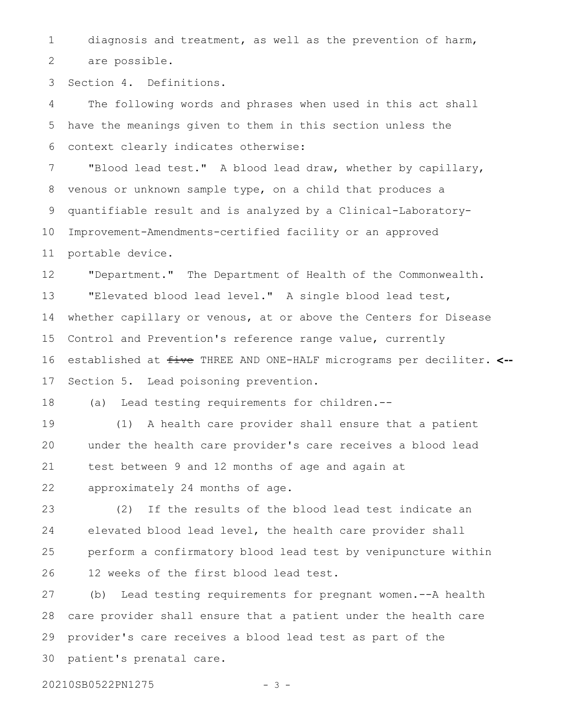diagnosis and treatment, as well as the prevention of harm, are possible. 1 2

Section 4. Definitions. 3

The following words and phrases when used in this act shall have the meanings given to them in this section unless the context clearly indicates otherwise: 4 5 6

"Blood lead test." A blood lead draw, whether by capillary, venous or unknown sample type, on a child that produces a quantifiable result and is analyzed by a Clinical-Laboratory-Improvement-Amendments-certified facility or an approved portable device. 7 8 9 10 11

"Department." The Department of Health of the Commonwealth. "Elevated blood lead level." A single blood lead test, whether capillary or venous, at or above the Centers for Disease Control and Prevention's reference range value, currently established at five THREE AND ONE-HALF micrograms per deciliter. **<--** Section 5. Lead poisoning prevention. 12 13 14 15 16 17

(a) Lead testing requirements for children.-- 18

(1) A health care provider shall ensure that a patient under the health care provider's care receives a blood lead test between 9 and 12 months of age and again at approximately 24 months of age. 19 20 21 22

(2) If the results of the blood lead test indicate an elevated blood lead level, the health care provider shall perform a confirmatory blood lead test by venipuncture within 12 weeks of the first blood lead test. 23 24 25 26

(b) Lead testing requirements for pregnant women.--A health care provider shall ensure that a patient under the health care provider's care receives a blood lead test as part of the patient's prenatal care. 27 28 29 30

20210SB0522PN1275 - 3 -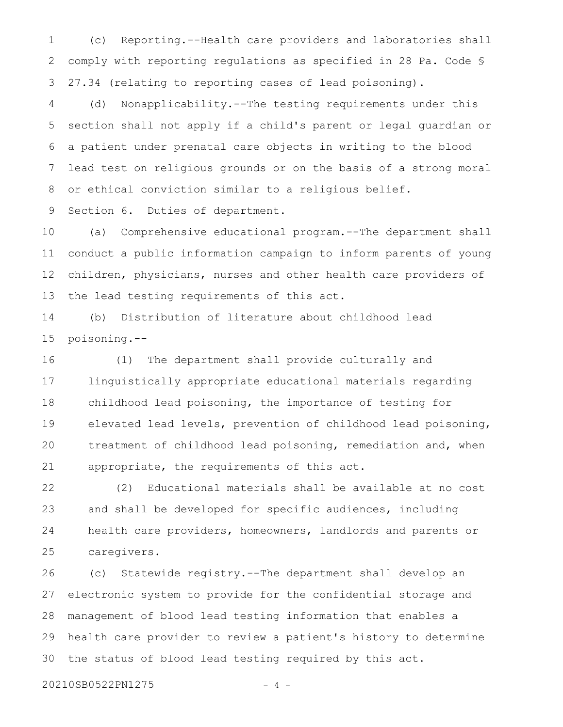(c) Reporting.--Health care providers and laboratories shall comply with reporting regulations as specified in 28 Pa. Code § 27.34 (relating to reporting cases of lead poisoning). 1 2 3

(d) Nonapplicability.--The testing requirements under this section shall not apply if a child's parent or legal guardian or a patient under prenatal care objects in writing to the blood lead test on religious grounds or on the basis of a strong moral or ethical conviction similar to a religious belief. 4 5 6 7 8

Section 6. Duties of department. 9

(a) Comprehensive educational program.--The department shall conduct a public information campaign to inform parents of young children, physicians, nurses and other health care providers of the lead testing requirements of this act. 10 11 12 13

(b) Distribution of literature about childhood lead poisoning.-- 14 15

(1) The department shall provide culturally and linguistically appropriate educational materials regarding childhood lead poisoning, the importance of testing for elevated lead levels, prevention of childhood lead poisoning, treatment of childhood lead poisoning, remediation and, when appropriate, the requirements of this act. 16 17 18 19 20 21

(2) Educational materials shall be available at no cost and shall be developed for specific audiences, including health care providers, homeowners, landlords and parents or caregivers. 22 23 24 25

(c) Statewide registry.--The department shall develop an electronic system to provide for the confidential storage and management of blood lead testing information that enables a health care provider to review a patient's history to determine the status of blood lead testing required by this act. 26 27 28 29 30

20210SB0522PN1275 - 4 -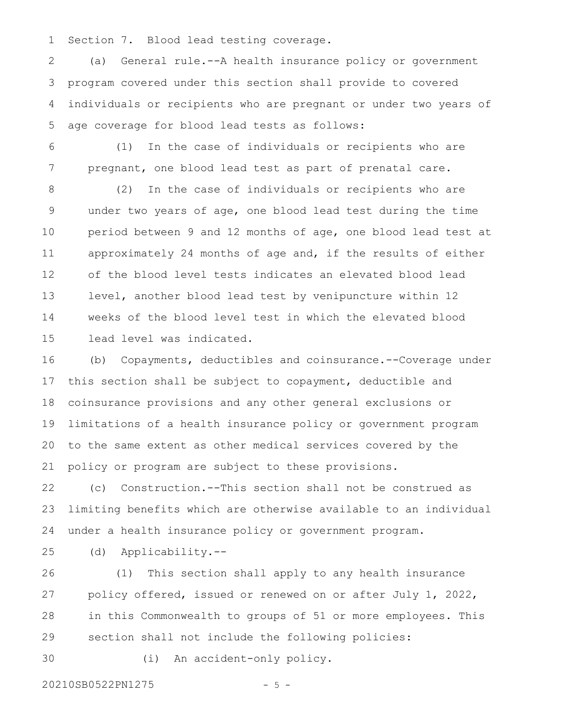Section 7. Blood lead testing coverage. 1

(a) General rule.--A health insurance policy or government program covered under this section shall provide to covered individuals or recipients who are pregnant or under two years of age coverage for blood lead tests as follows: 2 3 4 5

6

7

(1) In the case of individuals or recipients who are pregnant, one blood lead test as part of prenatal care.

(2) In the case of individuals or recipients who are under two years of age, one blood lead test during the time period between 9 and 12 months of age, one blood lead test at approximately 24 months of age and, if the results of either of the blood level tests indicates an elevated blood lead level, another blood lead test by venipuncture within 12 weeks of the blood level test in which the elevated blood lead level was indicated. 8 9 10 11 12 13 14 15

(b) Copayments, deductibles and coinsurance.--Coverage under this section shall be subject to copayment, deductible and coinsurance provisions and any other general exclusions or limitations of a health insurance policy or government program to the same extent as other medical services covered by the policy or program are subject to these provisions. 16 17 18 19 20 21

(c) Construction.--This section shall not be construed as limiting benefits which are otherwise available to an individual under a health insurance policy or government program. 22 23 24

25

(d) Applicability.--

(1) This section shall apply to any health insurance policy offered, issued or renewed on or after July 1, 2022, in this Commonwealth to groups of 51 or more employees. This section shall not include the following policies: 26 27 28 29

30

(i) An accident-only policy.

20210SB0522PN1275 - 5 -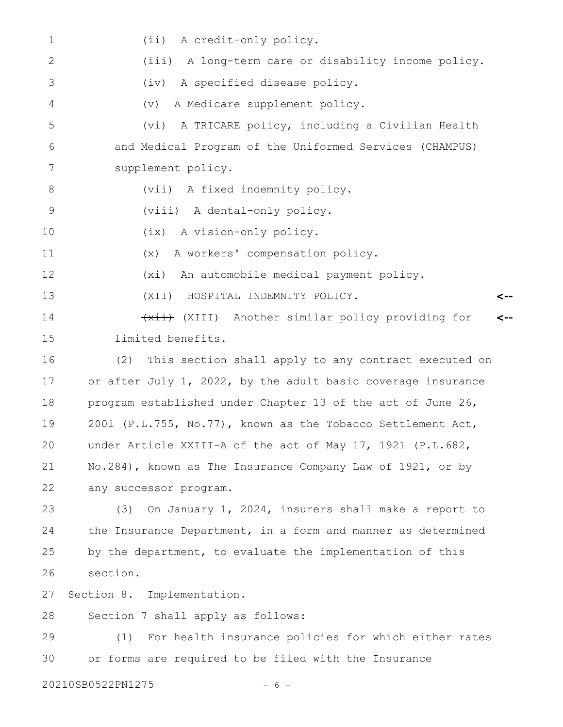(ii) A credit-only policy. (iii) A long-term care or disability income policy. (iv) A specified disease policy. (v) A Medicare supplement policy. (vi) A TRICARE policy, including a Civilian Health and Medical Program of the Uniformed Services (CHAMPUS) supplement policy. (vii) A fixed indemnity policy. (viii) A dental-only policy. (ix) A vision-only policy. (x) A workers' compensation policy. (xi) An automobile medical payment policy. (XII) HOSPITAL INDEMNITY POLICY. (xii) (XIII) Another similar policy providing for limited benefits. (2) This section shall apply to any contract executed on or after July 1, 2022, by the adult basic coverage insurance program established under Chapter 13 of the act of June 26, 2001 (P.L.755, No.77), known as the Tobacco Settlement Act, under Article XXIII-A of the act of May 17, 1921 (P.L.682, No.284), known as The Insurance Company Law of 1921, or by any successor program. (3) On January 1, 2024, insurers shall make a report to the Insurance Department, in a form and manner as determined by the department, to evaluate the implementation of this section. Section 8. Implementation. Section 7 shall apply as follows: (1) For health insurance policies for which either rates or forms are required to be filed with the Insurance 20210SB0522PN1275 - 6 -**<-- <--** 1 2 3 4 5 6 7 8 9 10 11 12 13 14 15 16 17 18 19 20 21 22 23 24 25 26 27 28 29 30